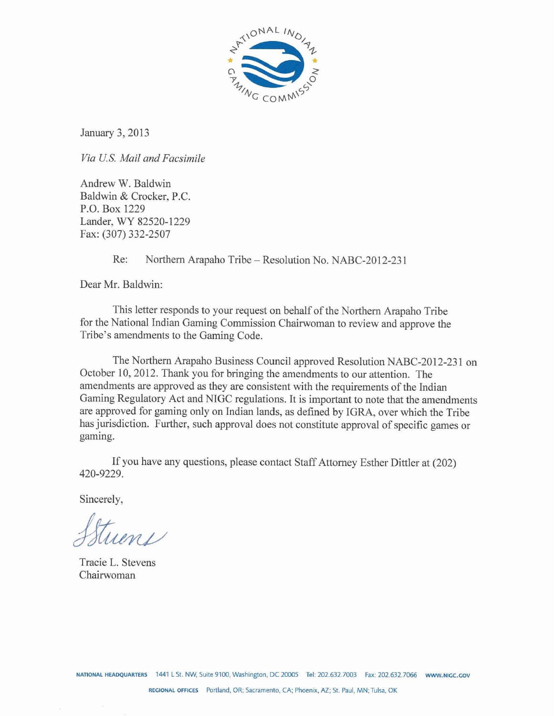

January 3,2013

*Via US.* **Mail** *and Facsimile* 

Andrew W. Baldwin Baldwin & Crocker, P.C. P.O. Box 1229 Lander, WY 82520-1229 Fax: (307) 332-2507

Re: Northern Arapaho Tribe - Resolution No. NABC-2012-231

Dear Mr. Baldwin:

This letter responds to your request on behalf of the Northern Arapaho Tribe for the National Indian Gaming Commission Chairwoman to review and approve the Tribe's amendments to the Gaming Code.

The Northern Arapaho Business Council approved Resolution NABC-2012-23 1 on October 10,2012. Thank you for bringing the amendments to our attention. The amendments are approved as they are consistent with the requirements of the Indian Gaming Regulatory Act and NIGC regulations. It is important to note that the amendments are approved for gaming only on Indian lands, as defined by IGRA, over which the Tribe has jurisdiction. Further, such approval does not constitute approval of specific games or gaming.

If you have any questions, please contact Staff Attorney Esther Dittler at (202) 420-9229.

Sincerely,

tuen

Tracie L. Stevens Chairwoman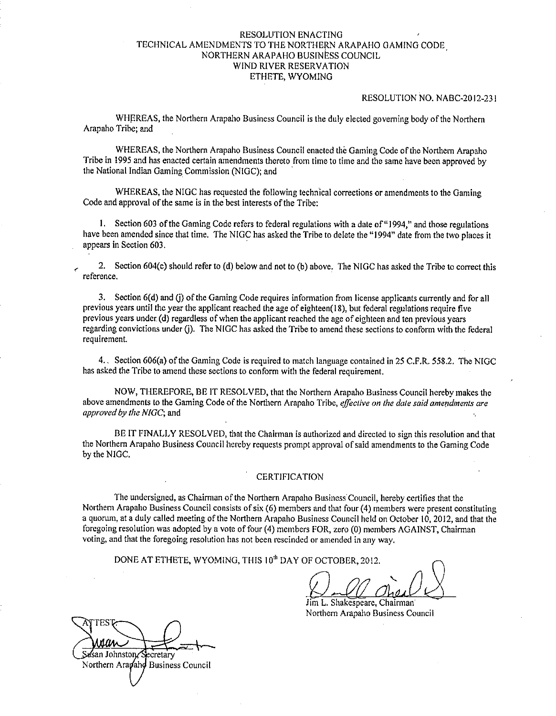## RESOLUTION ENACTING TECHNICAL AMENDMENTS TO THE NORTHERN ARAPAHO GAMING CODE NORTHERN ARAPAHO BUSINESS COUNCIL WIND RIVER RESERVATION ETHETE, WYOMING

### RESOLUTION NO. NABC-2012-23 I

WHEREAS, the Northern Arapaho Business Council is the duly elected governing body of the Northern Arapaho Tribe; and

WHEREAS, the Northern Arapaho Business Council enacted the Gaming Code of the Northern Arapaho Tribe in 1995 and has enacted certain amendments thereto from time to time and the same have been approved by the National Indian Gaming Commission (NIGC); and

WHEREAS, the NIGC has requested the following technical corrections or amendments to the Gaming Code and approval of the same is in the best interests of the Tribe:

1. Section 603 of the Gaming Code refers to federal regulations with a date of "1994," and those regulations have been amended since that time. The NIGC has asked the Tribe to delete the "1994" date from the two places it appears in Section 603.

, 2. Section 604(c) should refer to (d) below and not to (b) above. The NlGC has asked the Tribe to correct this reference.

3. Section 6(d) and (i) of the Gaming Code requires information from license applicants currently and for all previous years until the year the applicant reached the age of eighteen(l8), but federal regulations require five previous years under (d) regardless of when the applicant reached the age of eighteen and ten previous years regarding convictions under (j). The NIGC has asked the Tribe to amend these sections to conform with the federal requirement.

4.. Section 606(a) of the Gaming Code is required to match language contained in 25 C.F.R. 558.2. The NIGC has asked the Tribe to amend these sections to conform with the federal requirement.

NOW, THEREFORE, BE 1T RESOLVED, that the Northern Arapaho Business Council hereby makes the above amendments to the Gaming Code of the Northern Arapaho Tribe, *effective on the date said amendments are approved by the NIGC;* and

BE IT FINALLY RESOLVED, that the Chairman is authorized and directed to sign this resolution and that the Northern Arapaho Business Council hereby requests prompt approval of said amendments to the Gamins Code by the NIGC.

## **CERTIFICATION**

The undersigned, as Chairman of the Northern Arapaho Business Council, hereby certifies that the Northern Arapaho Business Council consists of six (6) members and that four (4) members were present constituting a quorum, at a duly called meeting of the Northern Arapaho Business Council held on October 10,2012, and that the foregoing resolution was adopted by a vote of four (4) members FOR, zero (0) members AGAINST, Chairman voting, and that the foregoing resolution has not been rescinded or amended in any way.

DONE AT ETHETE, WYOMING, THIS 10<sup>th</sup> DAY OF OCTOBER, 2012.

Jim L. Shakespeare, Chairman Northern Arapaho Business Council

lЙл asan Johnston∕S ecretary Northern Arapaho Business Council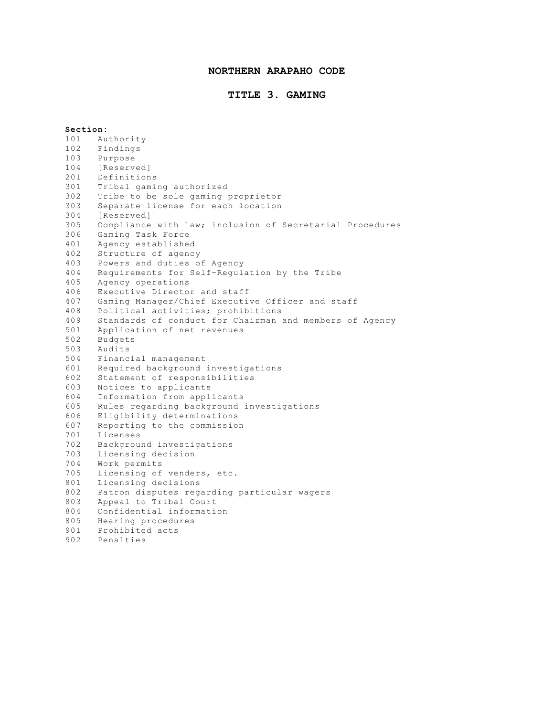## **NORTHERN ARAPAHO CODE**

## **TITLE 3. GAMING**

**Section:** Authority Findings Purpose 104 [Reserved]<br>201 Definition Definitions 301 Tribal gaming authorized<br>302 Tribe to be sole gaming Tribe to be sole gaming proprietor Separate license for each location [Reserved] Compliance with law; inclusion of Secretarial Procedures Gaming Task Force Agency established Structure of agency Powers and duties of Agency Requirements for Self-Regulation by the Tribe Agency operations 406 Executive Director and staff<br>407 Gaming Manager/Chief Executi Gaming Manager/Chief Executive Officer and staff 408 Political activities; prohibitions<br>409 Standards of conduct for Chairman Standards of conduct for Chairman and members of Agency Application of net revenues Budgets Audits Financial management Required background investigations Statement of responsibilities Notices to applicants Information from applicants 605 Rules regarding background investigations<br>606 Rligibility determinations Eligibility determinations 607 Reporting to the commission<br>701 Licenses Licenses Background investigations Licensing decision Work permits Licensing of venders, etc. Licensing decisions Patron disputes regarding particular wagers Appeal to Tribal Court Confidential information Hearing procedures 901 Prohibited acts<br>902 Penalties Penalties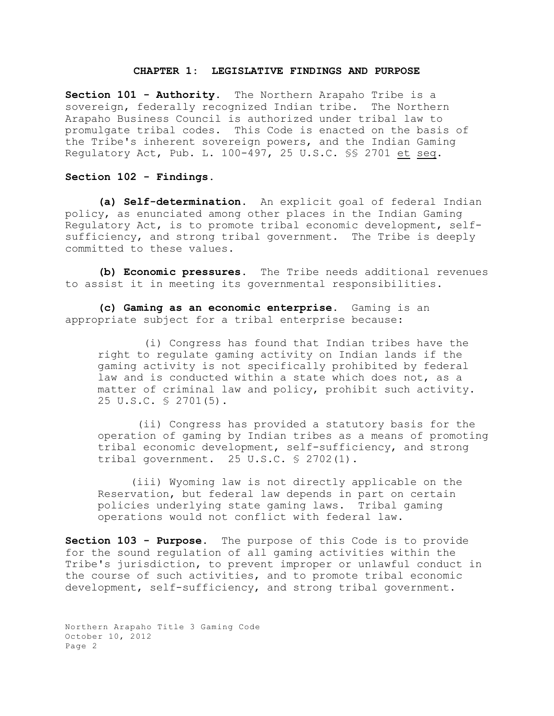### **CHAPTER 1: LEGISLATIVE FINDINGS AND PURPOSE**

**Section 101 - Authority.** The Northern Arapaho Tribe is a sovereign, federally recognized Indian tribe. The Northern Arapaho Business Council is authorized under tribal law to promulgate tribal codes. This Code is enacted on the basis of the Tribe's inherent sovereign powers, and the Indian Gaming Regulatory Act, Pub. L. 100-497, 25 U.S.C. §§ 2701 et seq.

**Section 102 - Findings.**

**(a) Self-determination.** An explicit goal of federal Indian policy, as enunciated among other places in the Indian Gaming Regulatory Act, is to promote tribal economic development, selfsufficiency, and strong tribal government. The Tribe is deeply committed to these values.

**(b) Economic pressures.** The Tribe needs additional revenues to assist it in meeting its governmental responsibilities.

**(c) Gaming as an economic enterprise.** Gaming is an appropriate subject for a tribal enterprise because:

 (i) Congress has found that Indian tribes have the right to regulate gaming activity on Indian lands if the gaming activity is not specifically prohibited by federal law and is conducted within a state which does not, as a matter of criminal law and policy, prohibit such activity. 25 U.S.C. § 2701(5).

 (ii) Congress has provided a statutory basis for the operation of gaming by Indian tribes as a means of promoting tribal economic development, self-sufficiency, and strong tribal government. 25 U.S.C.  $\frac{1}{2}$  2702(1).

(iii) Wyoming law is not directly applicable on the Reservation, but federal law depends in part on certain policies underlying state gaming laws. Tribal gaming operations would not conflict with federal law.

**Section 103 - Purpose.** The purpose of this Code is to provide for the sound regulation of all gaming activities within the Tribe's jurisdiction, to prevent improper or unlawful conduct in the course of such activities, and to promote tribal economic development, self-sufficiency, and strong tribal government.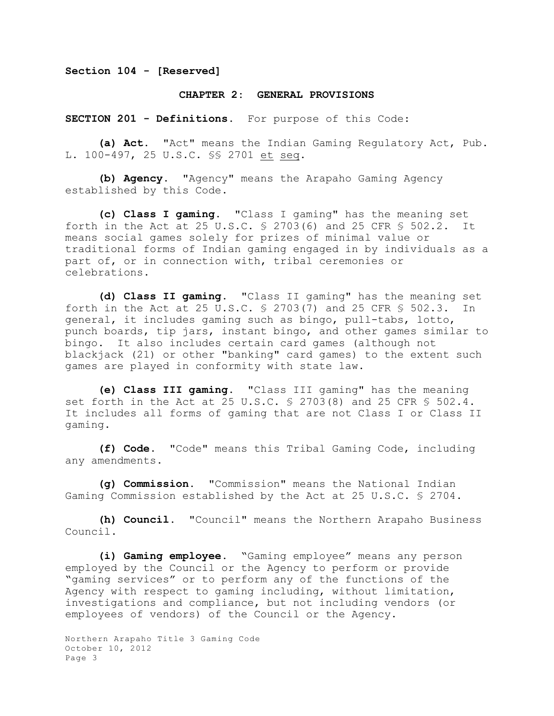**Section 104 - [Reserved]**

### **CHAPTER 2: GENERAL PROVISIONS**

**SECTION 201 - Definitions.** For purpose of this Code:

**(a) Act.** "Act" means the Indian Gaming Regulatory Act, Pub. L. 100-497, 25 U.S.C. §§ 2701 et seq.

**(b) Agency.** "Agency" means the Arapaho Gaming Agency established by this Code.

**(c) Class I gaming.** "Class I gaming" has the meaning set forth in the Act at 25 U.S.C. § 2703(6) and 25 CFR § 502.2. It means social games solely for prizes of minimal value or traditional forms of Indian gaming engaged in by individuals as a part of, or in connection with, tribal ceremonies or celebrations.

**(d) Class II gaming.** "Class II gaming" has the meaning set forth in the Act at 25 U.S.C. § 2703(7) and 25 CFR § 502.3. In general, it includes gaming such as bingo, pull-tabs, lotto, punch boards, tip jars, instant bingo, and other games similar to bingo. It also includes certain card games (although not blackjack (21) or other "banking" card games) to the extent such games are played in conformity with state law.

**(e) Class III gaming.** "Class III gaming" has the meaning set forth in the Act at 25 U.S.C. § 2703(8) and 25 CFR § 502.4. It includes all forms of gaming that are not Class I or Class II gaming.

**(f) Code.** "Code" means this Tribal Gaming Code, including any amendments.

**(g) Commission.** "Commission" means the National Indian Gaming Commission established by the Act at 25 U.S.C. § 2704.

**(h) Council.** "Council" means the Northern Arapaho Business Council.

**(i) Gaming employee.** "Gaming employee" means any person employed by the Council or the Agency to perform or provide "gaming services" or to perform any of the functions of the Agency with respect to gaming including, without limitation, investigations and compliance, but not including vendors (or employees of vendors) of the Council or the Agency.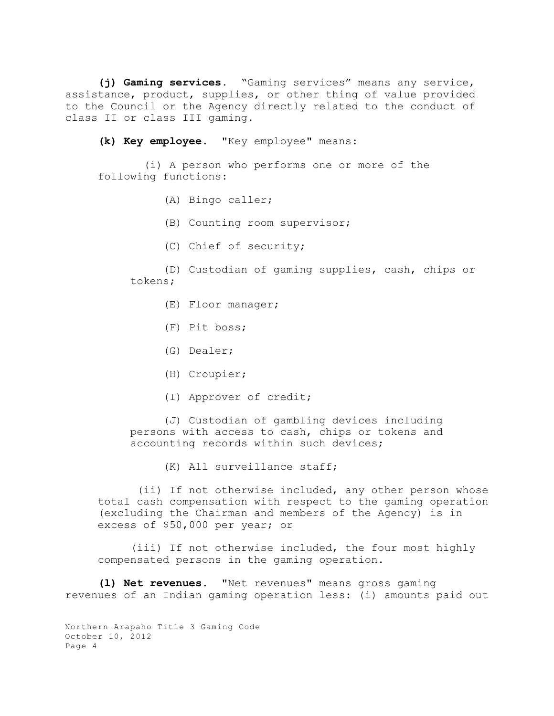**(j) Gaming services.** "Gaming services" means any service, assistance, product, supplies, or other thing of value provided to the Council or the Agency directly related to the conduct of class II or class III gaming.

**(k) Key employee**. "Key employee" means:

 (i) A person who performs one or more of the following functions:

- (A) Bingo caller;
- (B) Counting room supervisor;
- (C) Chief of security;

(D) Custodian of gaming supplies, cash, chips or tokens;

- (E) Floor manager;
- (F) Pit boss;
- (G) Dealer;
- (H) Croupier;
- (I) Approver of credit;

(J) Custodian of gambling devices including persons with access to cash, chips or tokens and accounting records within such devices;

(K) All surveillance staff;

 (ii) If not otherwise included, any other person whose total cash compensation with respect to the gaming operation (excluding the Chairman and members of the Agency) is in excess of \$50,000 per year; or

(iii) If not otherwise included, the four most highly compensated persons in the gaming operation.

**(l) Net revenues**. "Net revenues" means gross gaming revenues of an Indian gaming operation less: (i) amounts paid out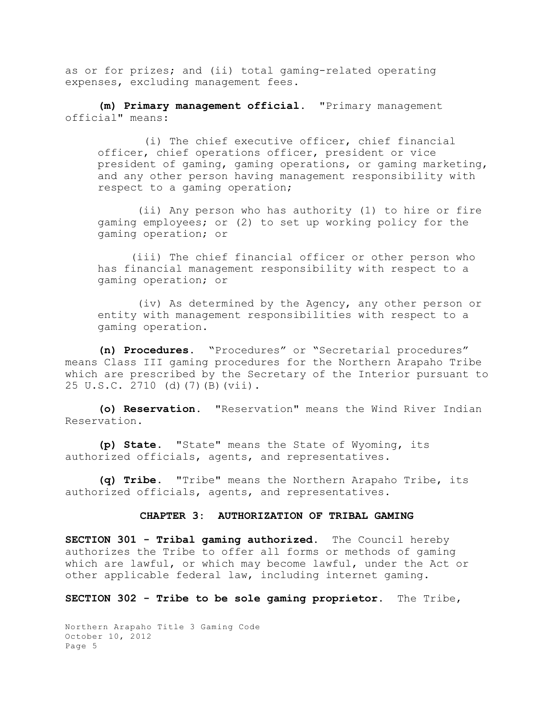as or for prizes; and (ii) total gaming-related operating expenses, excluding management fees.

**(m) Primary management official**. "Primary management official" means:

 (i) The chief executive officer, chief financial officer, chief operations officer, president or vice president of gaming, gaming operations, or gaming marketing, and any other person having management responsibility with respect to a gaming operation;

 (ii) Any person who has authority (1) to hire or fire gaming employees; or (2) to set up working policy for the gaming operation; or

(iii) The chief financial officer or other person who has financial management responsibility with respect to a gaming operation; or

 (iv) As determined by the Agency, any other person or entity with management responsibilities with respect to a gaming operation.

**(n) Procedures**. "Procedures" or "Secretarial procedures" means Class III gaming procedures for the Northern Arapaho Tribe which are prescribed by the Secretary of the Interior pursuant to 25 U.S.C. 2710 (d)(7)(B)(vii).

**(o) Reservation.** "Reservation" means the Wind River Indian Reservation.

**(p) State.** "State" means the State of Wyoming, its authorized officials, agents, and representatives.

**(q) Tribe.** "Tribe" means the Northern Arapaho Tribe, its authorized officials, agents, and representatives.

#### **CHAPTER 3: AUTHORIZATION OF TRIBAL GAMING**

**SECTION 301 - Tribal gaming authorized.** The Council hereby authorizes the Tribe to offer all forms or methods of gaming which are lawful, or which may become lawful, under the Act or other applicable federal law, including internet gaming.

**SECTION 302 - Tribe to be sole gaming proprietor.** The Tribe,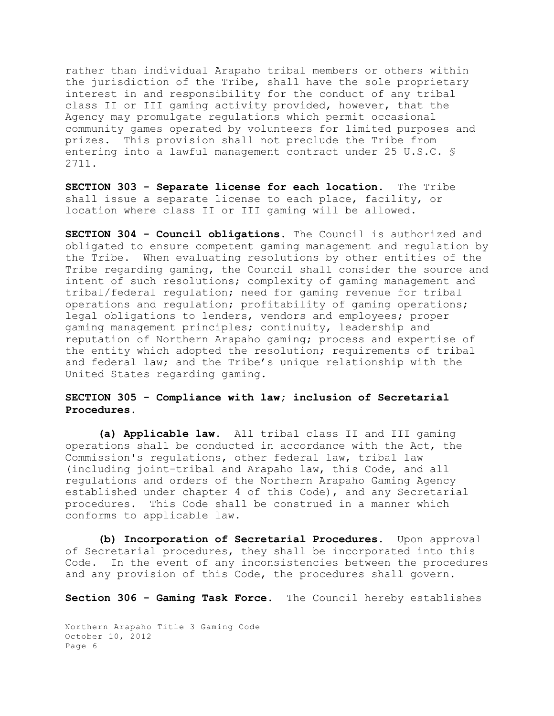rather than individual Arapaho tribal members or others within the jurisdiction of the Tribe, shall have the sole proprietary interest in and responsibility for the conduct of any tribal class II or III gaming activity provided, however, that the Agency may promulgate regulations which permit occasional community games operated by volunteers for limited purposes and prizes. This provision shall not preclude the Tribe from entering into a lawful management contract under 25 U.S.C. § 2711.

**SECTION 303 - Separate license for each location.** The Tribe shall issue a separate license to each place, facility, or location where class II or III gaming will be allowed.

**SECTION 304 - Council obligations**. The Council is authorized and obligated to ensure competent gaming management and regulation by the Tribe. When evaluating resolutions by other entities of the Tribe regarding gaming, the Council shall consider the source and intent of such resolutions; complexity of gaming management and tribal/federal regulation; need for gaming revenue for tribal operations and regulation; profitability of gaming operations; legal obligations to lenders, vendors and employees; proper gaming management principles; continuity, leadership and reputation of Northern Arapaho gaming; process and expertise of the entity which adopted the resolution; requirements of tribal and federal law; and the Tribe's unique relationship with the United States regarding gaming.

# **SECTION 305 - Compliance with law; inclusion of Secretarial Procedures.**

**(a) Applicable law.** All tribal class II and III gaming operations shall be conducted in accordance with the Act, the Commission's regulations, other federal law, tribal law (including joint-tribal and Arapaho law, this Code, and all regulations and orders of the Northern Arapaho Gaming Agency established under chapter 4 of this Code), and any Secretarial procedures. This Code shall be construed in a manner which conforms to applicable law.

**(b) Incorporation of Secretarial Procedures.** Upon approval of Secretarial procedures, they shall be incorporated into this Code. In the event of any inconsistencies between the procedures and any provision of this Code, the procedures shall govern.

**Section 306 - Gaming Task Force.** The Council hereby establishes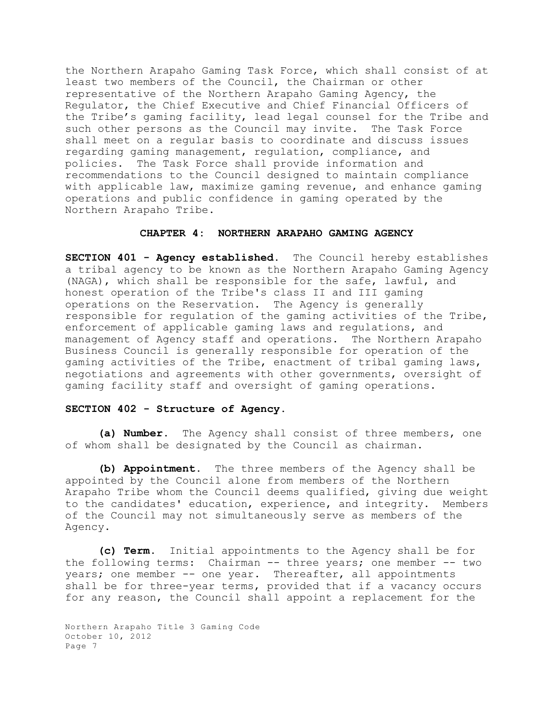the Northern Arapaho Gaming Task Force, which shall consist of at least two members of the Council, the Chairman or other representative of the Northern Arapaho Gaming Agency, the Regulator, the Chief Executive and Chief Financial Officers of the Tribe's gaming facility, lead legal counsel for the Tribe and such other persons as the Council may invite. The Task Force shall meet on a regular basis to coordinate and discuss issues regarding gaming management, regulation, compliance, and policies. The Task Force shall provide information and recommendations to the Council designed to maintain compliance with applicable law, maximize gaming revenue, and enhance gaming operations and public confidence in gaming operated by the Northern Arapaho Tribe.

## **CHAPTER 4: NORTHERN ARAPAHO GAMING AGENCY**

**SECTION 401 - Agency established.** The Council hereby establishes a tribal agency to be known as the Northern Arapaho Gaming Agency (NAGA), which shall be responsible for the safe, lawful, and honest operation of the Tribe's class II and III gaming operations on the Reservation. The Agency is generally responsible for regulation of the gaming activities of the Tribe, enforcement of applicable gaming laws and regulations, and management of Agency staff and operations. The Northern Arapaho Business Council is generally responsible for operation of the gaming activities of the Tribe, enactment of tribal gaming laws, negotiations and agreements with other governments, oversight of gaming facility staff and oversight of gaming operations.

### **SECTION 402 - Structure of Agency.**

**(a) Number.** The Agency shall consist of three members, one of whom shall be designated by the Council as chairman.

**(b) Appointment.** The three members of the Agency shall be appointed by the Council alone from members of the Northern Arapaho Tribe whom the Council deems qualified, giving due weight to the candidates' education, experience, and integrity. Members of the Council may not simultaneously serve as members of the Agency.

**(c) Term.** Initial appointments to the Agency shall be for the following terms: Chairman -- three years; one member -- two years; one member -- one year. Thereafter, all appointments shall be for three-year terms, provided that if a vacancy occurs for any reason, the Council shall appoint a replacement for the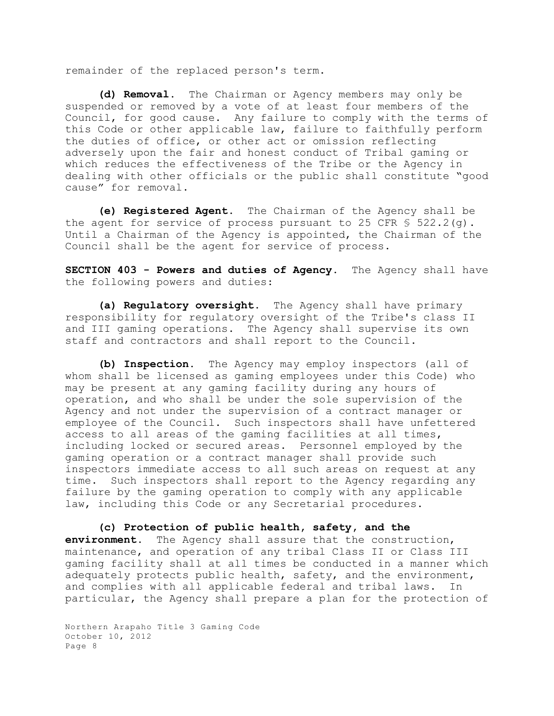remainder of the replaced person's term.

**(d) Removal.** The Chairman or Agency members may only be suspended or removed by a vote of at least four members of the Council, for good cause. Any failure to comply with the terms of this Code or other applicable law, failure to faithfully perform the duties of office, or other act or omission reflecting adversely upon the fair and honest conduct of Tribal gaming or which reduces the effectiveness of the Tribe or the Agency in dealing with other officials or the public shall constitute "good cause" for removal.

**(e) Registered Agent**. The Chairman of the Agency shall be the agent for service of process pursuant to 25 CFR  $\frac{1}{5}$  522.2(g). Until a Chairman of the Agency is appointed, the Chairman of the Council shall be the agent for service of process.

**SECTION 403 - Powers and duties of Agency.** The Agency shall have the following powers and duties:

**(a) Regulatory oversight.** The Agency shall have primary responsibility for regulatory oversight of the Tribe's class II and III gaming operations. The Agency shall supervise its own staff and contractors and shall report to the Council.

**(b) Inspection.** The Agency may employ inspectors (all of whom shall be licensed as gaming employees under this Code) who may be present at any gaming facility during any hours of operation, and who shall be under the sole supervision of the Agency and not under the supervision of a contract manager or employee of the Council. Such inspectors shall have unfettered access to all areas of the gaming facilities at all times, including locked or secured areas. Personnel employed by the gaming operation or a contract manager shall provide such inspectors immediate access to all such areas on request at any time. Such inspectors shall report to the Agency regarding any failure by the gaming operation to comply with any applicable law, including this Code or any Secretarial procedures.

**(c) Protection of public health, safety, and the environment.** The Agency shall assure that the construction, maintenance, and operation of any tribal Class II or Class III gaming facility shall at all times be conducted in a manner which adequately protects public health, safety, and the environment, and complies with all applicable federal and tribal laws. In particular, the Agency shall prepare a plan for the protection of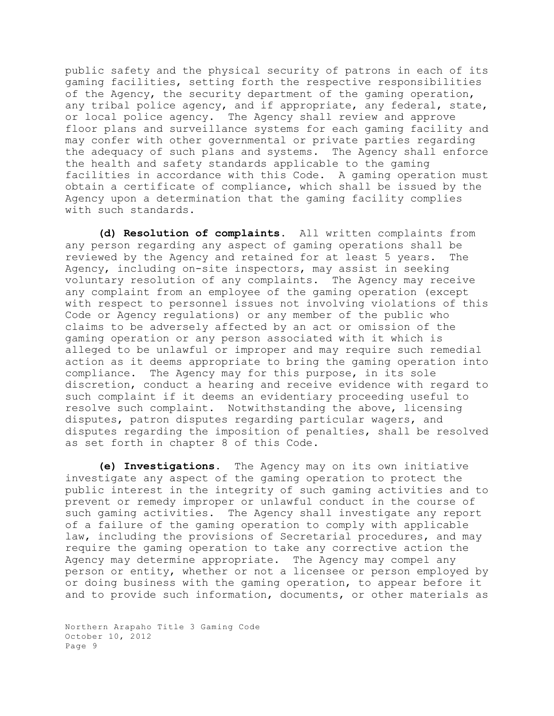public safety and the physical security of patrons in each of its gaming facilities, setting forth the respective responsibilities of the Agency, the security department of the gaming operation, any tribal police agency, and if appropriate, any federal, state, or local police agency. The Agency shall review and approve floor plans and surveillance systems for each gaming facility and may confer with other governmental or private parties regarding the adequacy of such plans and systems. The Agency shall enforce the health and safety standards applicable to the gaming facilities in accordance with this Code. A gaming operation must obtain a certificate of compliance, which shall be issued by the Agency upon a determination that the gaming facility complies with such standards.

**(d) Resolution of complaints.** All written complaints from any person regarding any aspect of gaming operations shall be reviewed by the Agency and retained for at least 5 years. The Agency, including on-site inspectors, may assist in seeking voluntary resolution of any complaints. The Agency may receive any complaint from an employee of the gaming operation (except with respect to personnel issues not involving violations of this Code or Agency regulations) or any member of the public who claims to be adversely affected by an act or omission of the gaming operation or any person associated with it which is alleged to be unlawful or improper and may require such remedial action as it deems appropriate to bring the gaming operation into compliance. The Agency may for this purpose, in its sole discretion, conduct a hearing and receive evidence with regard to such complaint if it deems an evidentiary proceeding useful to resolve such complaint. Notwithstanding the above, licensing disputes, patron disputes regarding particular wagers, and disputes regarding the imposition of penalties, shall be resolved as set forth in chapter 8 of this Code.

**(e) Investigations.** The Agency may on its own initiative investigate any aspect of the gaming operation to protect the public interest in the integrity of such gaming activities and to prevent or remedy improper or unlawful conduct in the course of such gaming activities. The Agency shall investigate any report of a failure of the gaming operation to comply with applicable law, including the provisions of Secretarial procedures, and may require the gaming operation to take any corrective action the Agency may determine appropriate. The Agency may compel any person or entity, whether or not a licensee or person employed by or doing business with the gaming operation, to appear before it and to provide such information, documents, or other materials as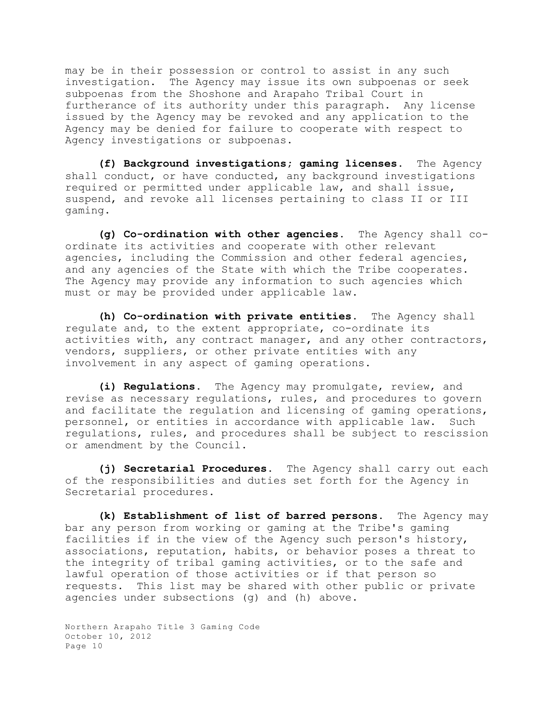may be in their possession or control to assist in any such investigation. The Agency may issue its own subpoenas or seek subpoenas from the Shoshone and Arapaho Tribal Court in furtherance of its authority under this paragraph. Any license issued by the Agency may be revoked and any application to the Agency may be denied for failure to cooperate with respect to Agency investigations or subpoenas.

**(f) Background investigations; gaming licenses.** The Agency shall conduct, or have conducted, any background investigations required or permitted under applicable law, and shall issue, suspend, and revoke all licenses pertaining to class II or III gaming.

**(g) Co-ordination with other agencies.** The Agency shall coordinate its activities and cooperate with other relevant agencies, including the Commission and other federal agencies, and any agencies of the State with which the Tribe cooperates. The Agency may provide any information to such agencies which must or may be provided under applicable law.

**(h) Co-ordination with private entities**. The Agency shall regulate and, to the extent appropriate, co-ordinate its activities with, any contract manager, and any other contractors, vendors, suppliers, or other private entities with any involvement in any aspect of gaming operations.

**(i) Regulations.** The Agency may promulgate, review, and revise as necessary regulations, rules, and procedures to govern and facilitate the regulation and licensing of gaming operations, personnel, or entities in accordance with applicable law. Such regulations, rules, and procedures shall be subject to rescission or amendment by the Council.

**(j) Secretarial Procedures.** The Agency shall carry out each of the responsibilities and duties set forth for the Agency in Secretarial procedures.

**(k) Establishment of list of barred persons.** The Agency may bar any person from working or gaming at the Tribe's gaming facilities if in the view of the Agency such person's history, associations, reputation, habits, or behavior poses a threat to the integrity of tribal gaming activities, or to the safe and lawful operation of those activities or if that person so requests. This list may be shared with other public or private agencies under subsections (g) and (h) above.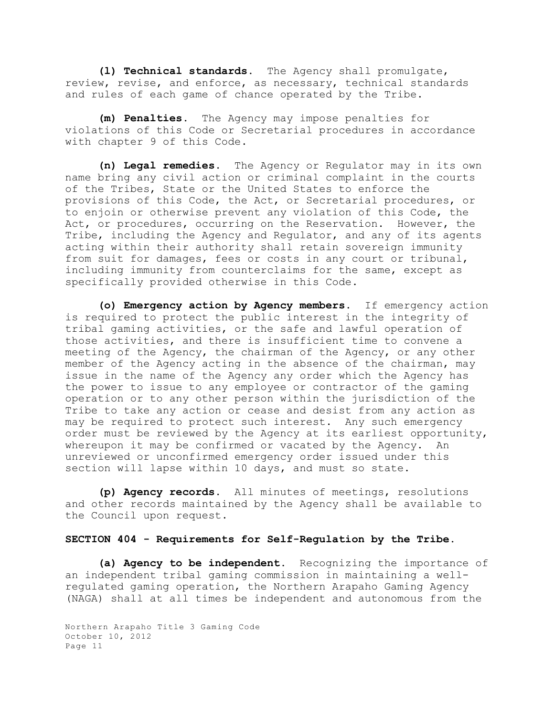**(l) Technical standards.** The Agency shall promulgate, review, revise, and enforce, as necessary, technical standards and rules of each game of chance operated by the Tribe.

**(m) Penalties.** The Agency may impose penalties for violations of this Code or Secretarial procedures in accordance with chapter 9 of this Code.

**(n) Legal remedies.** The Agency or Regulator may in its own name bring any civil action or criminal complaint in the courts of the Tribes, State or the United States to enforce the provisions of this Code, the Act, or Secretarial procedures, or to enjoin or otherwise prevent any violation of this Code, the Act, or procedures, occurring on the Reservation. However, the Tribe, including the Agency and Regulator, and any of its agents acting within their authority shall retain sovereign immunity from suit for damages, fees or costs in any court or tribunal, including immunity from counterclaims for the same, except as specifically provided otherwise in this Code.

**(o) Emergency action by Agency members**. If emergency action is required to protect the public interest in the integrity of tribal gaming activities, or the safe and lawful operation of those activities, and there is insufficient time to convene a meeting of the Agency, the chairman of the Agency, or any other member of the Agency acting in the absence of the chairman, may issue in the name of the Agency any order which the Agency has the power to issue to any employee or contractor of the gaming operation or to any other person within the jurisdiction of the Tribe to take any action or cease and desist from any action as may be required to protect such interest. Any such emergency order must be reviewed by the Agency at its earliest opportunity, whereupon it may be confirmed or vacated by the Agency. An unreviewed or unconfirmed emergency order issued under this section will lapse within 10 days, and must so state.

**(p) Agency records.** All minutes of meetings, resolutions and other records maintained by the Agency shall be available to the Council upon request.

### **SECTION 404 - Requirements for Self-Regulation by the Tribe.**

**(a) Agency to be independent.** Recognizing the importance of an independent tribal gaming commission in maintaining a wellregulated gaming operation, the Northern Arapaho Gaming Agency (NAGA) shall at all times be independent and autonomous from the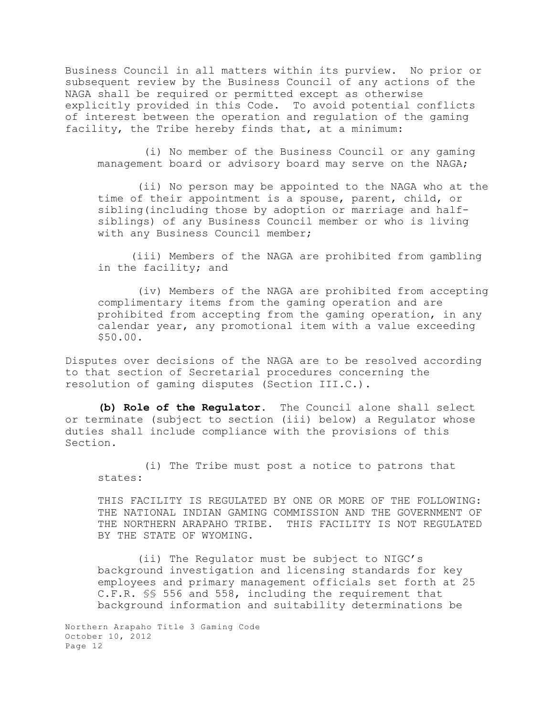Business Council in all matters within its purview. No prior or subsequent review by the Business Council of any actions of the NAGA shall be required or permitted except as otherwise explicitly provided in this Code. To avoid potential conflicts of interest between the operation and regulation of the gaming facility, the Tribe hereby finds that, at a minimum:

 (i) No member of the Business Council or any gaming management board or advisory board may serve on the NAGA;

 (ii) No person may be appointed to the NAGA who at the time of their appointment is a spouse, parent, child, or sibling(including those by adoption or marriage and halfsiblings) of any Business Council member or who is living with any Business Council member;

(iii) Members of the NAGA are prohibited from gambling in the facility; and

 (iv) Members of the NAGA are prohibited from accepting complimentary items from the gaming operation and are prohibited from accepting from the gaming operation, in any calendar year, any promotional item with a value exceeding \$50.00.

Disputes over decisions of the NAGA are to be resolved according to that section of Secretarial procedures concerning the resolution of gaming disputes (Section III.C.).

**(b) Role of the Regulator.** The Council alone shall select or terminate (subject to section (iii) below) a Regulator whose duties shall include compliance with the provisions of this Section.

 (i) The Tribe must post a notice to patrons that states:

THIS FACILITY IS REGULATED BY ONE OR MORE OF THE FOLLOWING: THE NATIONAL INDIAN GAMING COMMISSION AND THE GOVERNMENT OF THE NORTHERN ARAPAHO TRIBE. THIS FACILITY IS NOT REGULATED BY THE STATE OF WYOMING.

 (ii) The Regulator must be subject to NIGC's background investigation and licensing standards for key employees and primary management officials set forth at 25 C.F.R. §§ 556 and 558, including the requirement that background information and suitability determinations be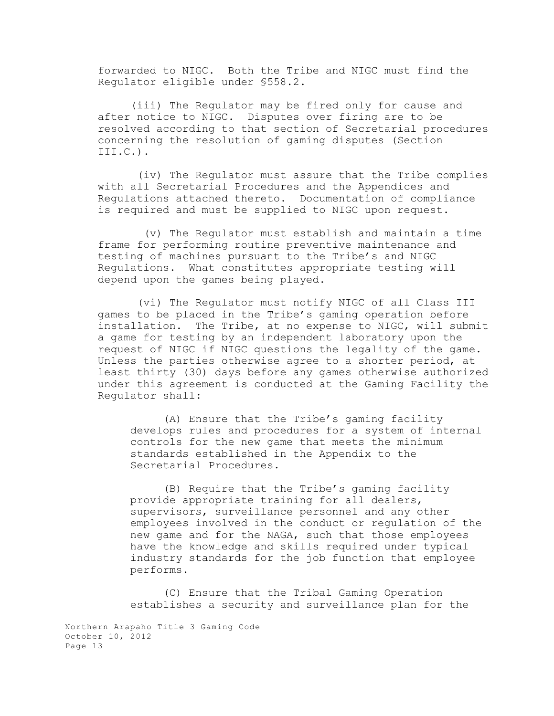forwarded to NIGC. Both the Tribe and NIGC must find the Regulator eligible under §558.2.

(iii) The Regulator may be fired only for cause and after notice to NIGC. Disputes over firing are to be resolved according to that section of Secretarial procedures concerning the resolution of gaming disputes (Section III.C.).

 (iv) The Regulator must assure that the Tribe complies with all Secretarial Procedures and the Appendices and Regulations attached thereto. Documentation of compliance is required and must be supplied to NIGC upon request.

 (v) The Regulator must establish and maintain a time frame for performing routine preventive maintenance and testing of machines pursuant to the Tribe's and NIGC Regulations. What constitutes appropriate testing will depend upon the games being played.

 (vi) The Regulator must notify NIGC of all Class III games to be placed in the Tribe's gaming operation before installation. The Tribe, at no expense to NIGC, will submit a game for testing by an independent laboratory upon the request of NIGC if NIGC questions the legality of the game. Unless the parties otherwise agree to a shorter period, at least thirty (30) days before any games otherwise authorized under this agreement is conducted at the Gaming Facility the Regulator shall:

(A) Ensure that the Tribe's gaming facility develops rules and procedures for a system of internal controls for the new game that meets the minimum standards established in the Appendix to the Secretarial Procedures.

(B) Require that the Tribe's gaming facility provide appropriate training for all dealers, supervisors, surveillance personnel and any other employees involved in the conduct or regulation of the new game and for the NAGA, such that those employees have the knowledge and skills required under typical industry standards for the job function that employee performs.

(C) Ensure that the Tribal Gaming Operation establishes a security and surveillance plan for the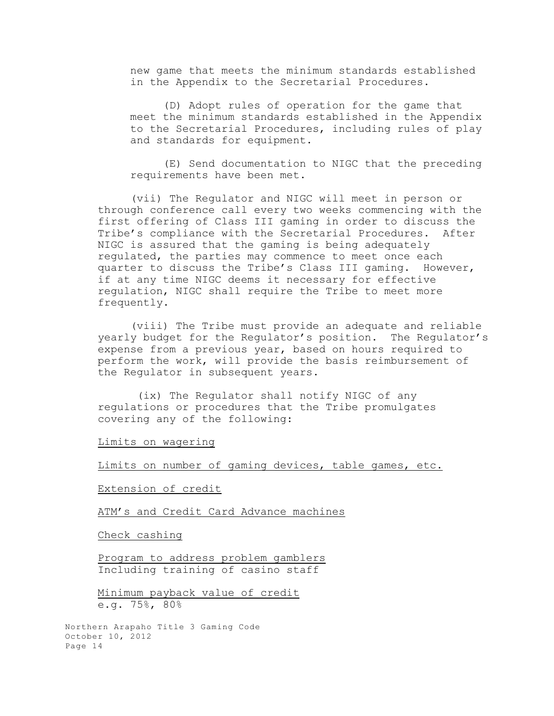new game that meets the minimum standards established in the Appendix to the Secretarial Procedures.

(D) Adopt rules of operation for the game that meet the minimum standards established in the Appendix to the Secretarial Procedures, including rules of play and standards for equipment.

(E) Send documentation to NIGC that the preceding requirements have been met.

(vii) The Regulator and NIGC will meet in person or through conference call every two weeks commencing with the first offering of Class III gaming in order to discuss the Tribe's compliance with the Secretarial Procedures. After NIGC is assured that the gaming is being adequately regulated, the parties may commence to meet once each quarter to discuss the Tribe's Class III gaming. However, if at any time NIGC deems it necessary for effective regulation, NIGC shall require the Tribe to meet more frequently.

(viii) The Tribe must provide an adequate and reliable yearly budget for the Regulator's position. The Regulator's expense from a previous year, based on hours required to perform the work, will provide the basis reimbursement of the Regulator in subsequent years.

 (ix) The Regulator shall notify NIGC of any regulations or procedures that the Tribe promulgates covering any of the following:

Limits on wagering

Limits on number of gaming devices, table games, etc.

Extension of credit

ATM's and Credit Card Advance machines

Check cashing

Program to address problem gamblers Including training of casino staff

Minimum payback value of credit e.g. 75%, 80%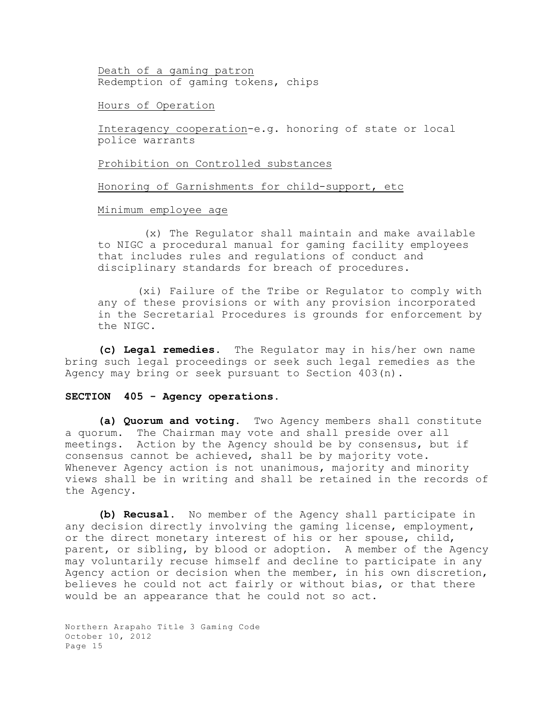Death of a gaming patron Redemption of gaming tokens, chips

Hours of Operation

Interagency cooperation-e.g. honoring of state or local police warrants

Prohibition on Controlled substances

Honoring of Garnishments for child-support, etc

Minimum employee age

 (x) The Regulator shall maintain and make available to NIGC a procedural manual for gaming facility employees that includes rules and regulations of conduct and disciplinary standards for breach of procedures.

 (xi) Failure of the Tribe or Regulator to comply with any of these provisions or with any provision incorporated in the Secretarial Procedures is grounds for enforcement by the NIGC.

**(c) Legal remedies.** The Regulator may in his/her own name bring such legal proceedings or seek such legal remedies as the Agency may bring or seek pursuant to Section 403(n).

### **SECTION 405 - Agency operations**.

**(a) Quorum and voting.** Two Agency members shall constitute a quorum. The Chairman may vote and shall preside over all meetings. Action by the Agency should be by consensus, but if consensus cannot be achieved, shall be by majority vote. Whenever Agency action is not unanimous, majority and minority views shall be in writing and shall be retained in the records of the Agency.

**(b) Recusal.** No member of the Agency shall participate in any decision directly involving the gaming license, employment, or the direct monetary interest of his or her spouse, child, parent, or sibling, by blood or adoption. A member of the Agency may voluntarily recuse himself and decline to participate in any Agency action or decision when the member, in his own discretion, believes he could not act fairly or without bias, or that there would be an appearance that he could not so act.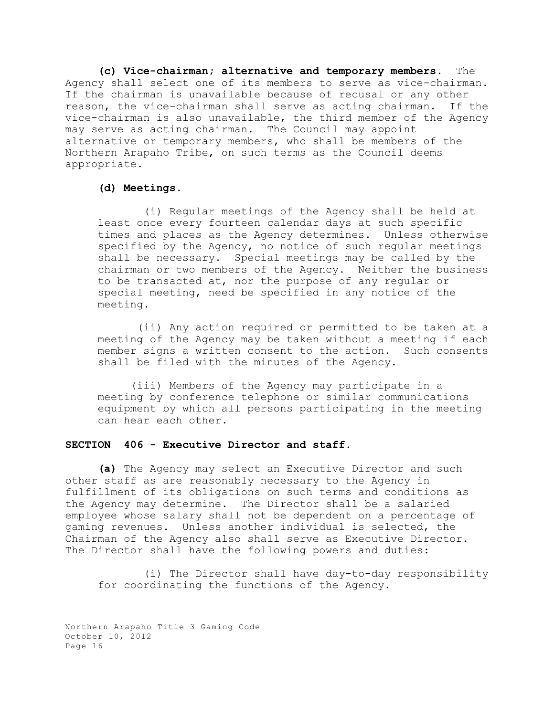**(c) Vice-chairman; alternative and temporary members.** The Agency shall select one of its members to serve as vice-chairman. If the chairman is unavailable because of recusal or any other reason, the vice-chairman shall serve as acting chairman. If the vice-chairman is also unavailable, the third member of the Agency may serve as acting chairman. The Council may appoint alternative or temporary members, who shall be members of the Northern Arapaho Tribe, on such terms as the Council deems appropriate.

### **(d) Meetings.**

 (i) Regular meetings of the Agency shall be held at least once every fourteen calendar days at such specific times and places as the Agency determines. Unless otherwise specified by the Agency, no notice of such regular meetings shall be necessary. Special meetings may be called by the chairman or two members of the Agency. Neither the business to be transacted at, nor the purpose of any regular or special meeting, need be specified in any notice of the meeting.

 (ii) Any action required or permitted to be taken at a meeting of the Agency may be taken without a meeting if each member signs a written consent to the action. Such consents shall be filed with the minutes of the Agency.

(iii) Members of the Agency may participate in a meeting by conference telephone or similar communications equipment by which all persons participating in the meeting can hear each other.

## **SECTION 406 - Executive Director and staff.**

**(a)** The Agency may select an Executive Director and such other staff as are reasonably necessary to the Agency in fulfillment of its obligations on such terms and conditions as the Agency may determine. The Director shall be a salaried employee whose salary shall not be dependent on a percentage of gaming revenues. Unless another individual is selected, the Chairman of the Agency also shall serve as Executive Director. The Director shall have the following powers and duties:

 (i) The Director shall have day-to-day responsibility for coordinating the functions of the Agency.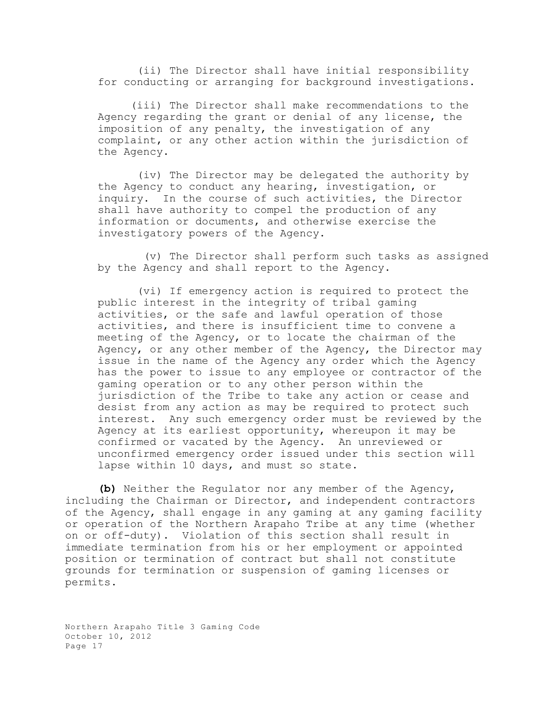(ii) The Director shall have initial responsibility for conducting or arranging for background investigations.

(iii) The Director shall make recommendations to the Agency regarding the grant or denial of any license, the imposition of any penalty, the investigation of any complaint, or any other action within the jurisdiction of the Agency.

 (iv) The Director may be delegated the authority by the Agency to conduct any hearing, investigation, or inquiry. In the course of such activities, the Director shall have authority to compel the production of any information or documents, and otherwise exercise the investigatory powers of the Agency.

 (v) The Director shall perform such tasks as assigned by the Agency and shall report to the Agency.

 (vi) If emergency action is required to protect the public interest in the integrity of tribal gaming activities, or the safe and lawful operation of those activities, and there is insufficient time to convene a meeting of the Agency, or to locate the chairman of the Agency, or any other member of the Agency, the Director may issue in the name of the Agency any order which the Agency has the power to issue to any employee or contractor of the gaming operation or to any other person within the jurisdiction of the Tribe to take any action or cease and desist from any action as may be required to protect such interest. Any such emergency order must be reviewed by the Agency at its earliest opportunity, whereupon it may be confirmed or vacated by the Agency. An unreviewed or unconfirmed emergency order issued under this section will lapse within 10 days, and must so state.

**(b)** Neither the Regulator nor any member of the Agency, including the Chairman or Director, and independent contractors of the Agency, shall engage in any gaming at any gaming facility or operation of the Northern Arapaho Tribe at any time (whether on or off-duty). Violation of this section shall result in immediate termination from his or her employment or appointed position or termination of contract but shall not constitute grounds for termination or suspension of gaming licenses or permits.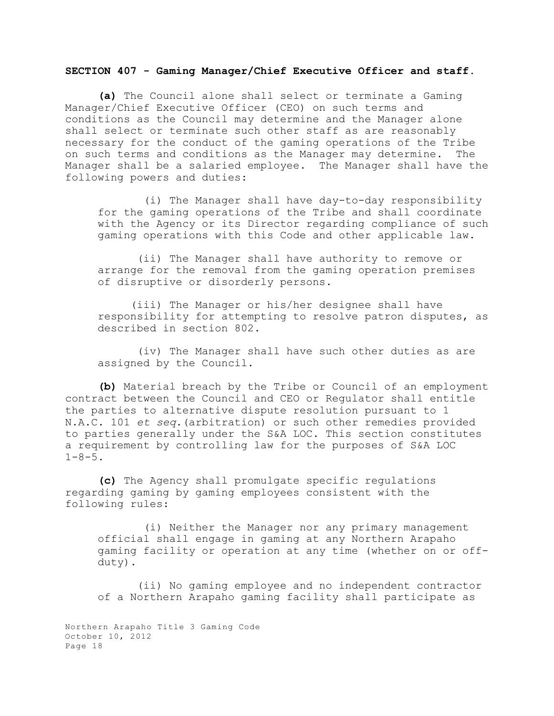## **SECTION 407 - Gaming Manager/Chief Executive Officer and staff.**

**(a)** The Council alone shall select or terminate a Gaming Manager/Chief Executive Officer (CEO) on such terms and conditions as the Council may determine and the Manager alone shall select or terminate such other staff as are reasonably necessary for the conduct of the gaming operations of the Tribe on such terms and conditions as the Manager may determine. The Manager shall be a salaried employee. The Manager shall have the following powers and duties:

 (i) The Manager shall have day-to-day responsibility for the gaming operations of the Tribe and shall coordinate with the Agency or its Director regarding compliance of such gaming operations with this Code and other applicable law.

 (ii) The Manager shall have authority to remove or arrange for the removal from the gaming operation premises of disruptive or disorderly persons.

(iii) The Manager or his/her designee shall have responsibility for attempting to resolve patron disputes, as described in section 802.

 (iv) The Manager shall have such other duties as are assigned by the Council.

**(b)** Material breach by the Tribe or Council of an employment contract between the Council and CEO or Regulator shall entitle the parties to alternative dispute resolution pursuant to 1 N.A.C. 101 *et seq*.(arbitration) or such other remedies provided to parties generally under the S&A LOC. This section constitutes a requirement by controlling law for the purposes of S&A LOC  $1 - 8 - 5$ .

**(c)** The Agency shall promulgate specific regulations regarding gaming by gaming employees consistent with the following rules:

 (i) Neither the Manager nor any primary management official shall engage in gaming at any Northern Arapaho gaming facility or operation at any time (whether on or offduty).

 (ii) No gaming employee and no independent contractor of a Northern Arapaho gaming facility shall participate as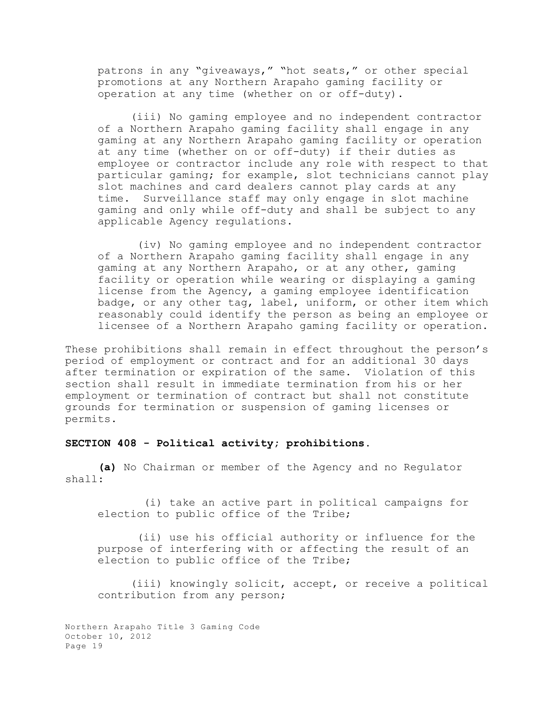patrons in any "giveaways," "hot seats," or other special promotions at any Northern Arapaho gaming facility or operation at any time (whether on or off-duty).

(iii) No gaming employee and no independent contractor of a Northern Arapaho gaming facility shall engage in any gaming at any Northern Arapaho gaming facility or operation at any time (whether on or off-duty) if their duties as employee or contractor include any role with respect to that particular gaming; for example, slot technicians cannot play slot machines and card dealers cannot play cards at any time. Surveillance staff may only engage in slot machine gaming and only while off-duty and shall be subject to any applicable Agency regulations.

 (iv) No gaming employee and no independent contractor of a Northern Arapaho gaming facility shall engage in any gaming at any Northern Arapaho, or at any other, gaming facility or operation while wearing or displaying a gaming license from the Agency, a gaming employee identification badge, or any other tag, label, uniform, or other item which reasonably could identify the person as being an employee or licensee of a Northern Arapaho gaming facility or operation.

These prohibitions shall remain in effect throughout the person's period of employment or contract and for an additional 30 days after termination or expiration of the same. Violation of this section shall result in immediate termination from his or her employment or termination of contract but shall not constitute grounds for termination or suspension of gaming licenses or permits.

## **SECTION 408 - Political activity; prohibitions.**

**(a)** No Chairman or member of the Agency and no Regulator shall:

 (i) take an active part in political campaigns for election to public office of the Tribe;

 (ii) use his official authority or influence for the purpose of interfering with or affecting the result of an election to public office of the Tribe;

(iii) knowingly solicit, accept, or receive a political contribution from any person;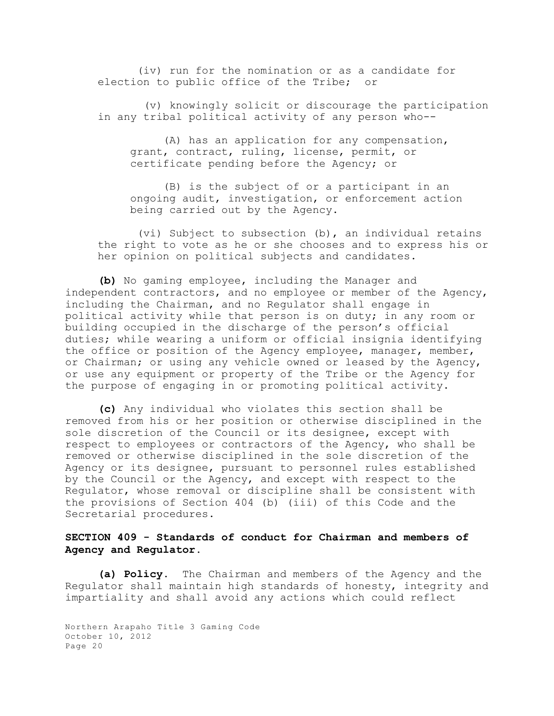(iv) run for the nomination or as a candidate for election to public office of the Tribe; or

 (v) knowingly solicit or discourage the participation in any tribal political activity of any person who--

(A) has an application for any compensation, grant, contract, ruling, license, permit, or certificate pending before the Agency; or

(B) is the subject of or a participant in an ongoing audit, investigation, or enforcement action being carried out by the Agency.

 (vi) Subject to subsection (b), an individual retains the right to vote as he or she chooses and to express his or her opinion on political subjects and candidates.

**(b)** No gaming employee, including the Manager and independent contractors, and no employee or member of the Agency, including the Chairman, and no Regulator shall engage in political activity while that person is on duty; in any room or building occupied in the discharge of the person's official duties; while wearing a uniform or official insignia identifying the office or position of the Agency employee, manager, member, or Chairman; or using any vehicle owned or leased by the Agency, or use any equipment or property of the Tribe or the Agency for the purpose of engaging in or promoting political activity.

**(c)** Any individual who violates this section shall be removed from his or her position or otherwise disciplined in the sole discretion of the Council or its designee, except with respect to employees or contractors of the Agency, who shall be removed or otherwise disciplined in the sole discretion of the Agency or its designee, pursuant to personnel rules established by the Council or the Agency, and except with respect to the Regulator, whose removal or discipline shall be consistent with the provisions of Section 404 (b) (iii) of this Code and the Secretarial procedures.

# **SECTION 409 - Standards of conduct for Chairman and members of Agency and Regulator.**

**(a) Policy**. The Chairman and members of the Agency and the Regulator shall maintain high standards of honesty, integrity and impartiality and shall avoid any actions which could reflect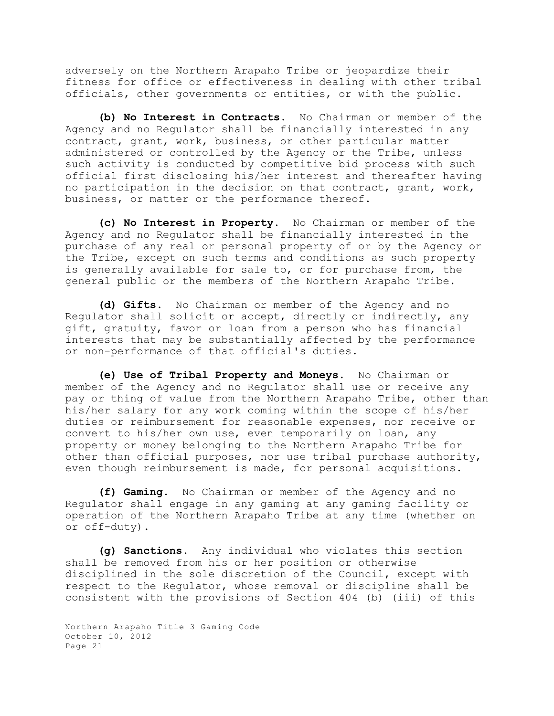adversely on the Northern Arapaho Tribe or jeopardize their fitness for office or effectiveness in dealing with other tribal officials, other governments or entities, or with the public.

**(b) No Interest in Contracts**. No Chairman or member of the Agency and no Regulator shall be financially interested in any contract, grant, work, business, or other particular matter administered or controlled by the Agency or the Tribe, unless such activity is conducted by competitive bid process with such official first disclosing his/her interest and thereafter having no participation in the decision on that contract, grant, work, business, or matter or the performance thereof.

**(c) No Interest in Property.** No Chairman or member of the Agency and no Regulator shall be financially interested in the purchase of any real or personal property of or by the Agency or the Tribe, except on such terms and conditions as such property is generally available for sale to, or for purchase from, the general public or the members of the Northern Arapaho Tribe.

**(d) Gifts.** No Chairman or member of the Agency and no Regulator shall solicit or accept, directly or indirectly, any gift, gratuity, favor or loan from a person who has financial interests that may be substantially affected by the performance or non-performance of that official's duties.

**(e) Use of Tribal Property and Moneys**. No Chairman or member of the Agency and no Regulator shall use or receive any pay or thing of value from the Northern Arapaho Tribe, other than his/her salary for any work coming within the scope of his/her duties or reimbursement for reasonable expenses, nor receive or convert to his/her own use, even temporarily on loan, any property or money belonging to the Northern Arapaho Tribe for other than official purposes, nor use tribal purchase authority, even though reimbursement is made, for personal acquisitions.

**(f) Gaming.** No Chairman or member of the Agency and no Regulator shall engage in any gaming at any gaming facility or operation of the Northern Arapaho Tribe at any time (whether on or off-duty).

**(g) Sanctions.** Any individual who violates this section shall be removed from his or her position or otherwise disciplined in the sole discretion of the Council, except with respect to the Regulator, whose removal or discipline shall be consistent with the provisions of Section 404 (b) (iii) of this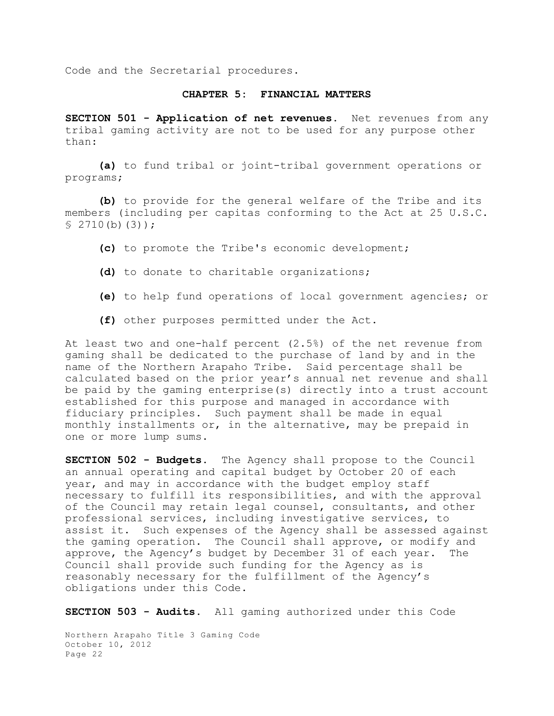Code and the Secretarial procedures.

## **CHAPTER 5: FINANCIAL MATTERS**

**SECTION 501 - Application of net revenues.** Net revenues from any tribal gaming activity are not to be used for any purpose other than:

**(a)** to fund tribal or joint-tribal government operations or programs;

**(b)** to provide for the general welfare of the Tribe and its members (including per capitas conforming to the Act at 25 U.S.C.  $$2710(b)(3));$ 

- **(c)** to promote the Tribe's economic development;
- **(d)** to donate to charitable organizations;
- **(e)** to help fund operations of local government agencies; or
- **(f)** other purposes permitted under the Act.

At least two and one-half percent (2.5%) of the net revenue from gaming shall be dedicated to the purchase of land by and in the name of the Northern Arapaho Tribe. Said percentage shall be calculated based on the prior year's annual net revenue and shall be paid by the gaming enterprise(s) directly into a trust account established for this purpose and managed in accordance with fiduciary principles. Such payment shall be made in equal monthly installments or, in the alternative, may be prepaid in one or more lump sums.

**SECTION 502 - Budgets.** The Agency shall propose to the Council an annual operating and capital budget by October 20 of each year, and may in accordance with the budget employ staff necessary to fulfill its responsibilities, and with the approval of the Council may retain legal counsel, consultants, and other professional services, including investigative services, to assist it. Such expenses of the Agency shall be assessed against the gaming operation. The Council shall approve, or modify and approve, the Agency's budget by December 31 of each year. The Council shall provide such funding for the Agency as is reasonably necessary for the fulfillment of the Agency's obligations under this Code.

**SECTION 503 - Audits.** All gaming authorized under this Code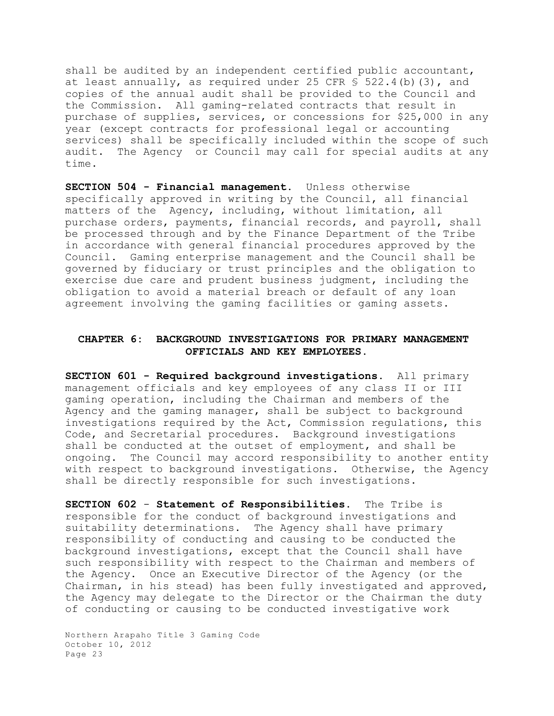shall be audited by an independent certified public accountant, at least annually, as required under 25 CFR  $S$  522.4(b)(3), and copies of the annual audit shall be provided to the Council and the Commission. All gaming-related contracts that result in purchase of supplies, services, or concessions for \$25,000 in any year (except contracts for professional legal or accounting services) shall be specifically included within the scope of such audit. The Agency or Council may call for special audits at any time.

**SECTION 504 - Financial management.** Unless otherwise specifically approved in writing by the Council, all financial matters of the Agency, including, without limitation, all purchase orders, payments, financial records, and payroll, shall be processed through and by the Finance Department of the Tribe in accordance with general financial procedures approved by the Council. Gaming enterprise management and the Council shall be governed by fiduciary or trust principles and the obligation to exercise due care and prudent business judgment, including the obligation to avoid a material breach or default of any loan agreement involving the gaming facilities or gaming assets.

## **CHAPTER 6: BACKGROUND INVESTIGATIONS FOR PRIMARY MANAGEMENT OFFICIALS AND KEY EMPLOYEES.**

**SECTION 601 - Required background investigations.** All primary management officials and key employees of any class II or III gaming operation, including the Chairman and members of the Agency and the gaming manager, shall be subject to background investigations required by the Act, Commission regulations, this Code, and Secretarial procedures. Background investigations shall be conducted at the outset of employment, and shall be ongoing. The Council may accord responsibility to another entity with respect to background investigations. Otherwise, the Agency shall be directly responsible for such investigations.

**SECTION 602** - **Statement of Responsibilities**. The Tribe is responsible for the conduct of background investigations and suitability determinations. The Agency shall have primary responsibility of conducting and causing to be conducted the background investigations, except that the Council shall have such responsibility with respect to the Chairman and members of the Agency. Once an Executive Director of the Agency (or the Chairman, in his stead) has been fully investigated and approved, the Agency may delegate to the Director or the Chairman the duty of conducting or causing to be conducted investigative work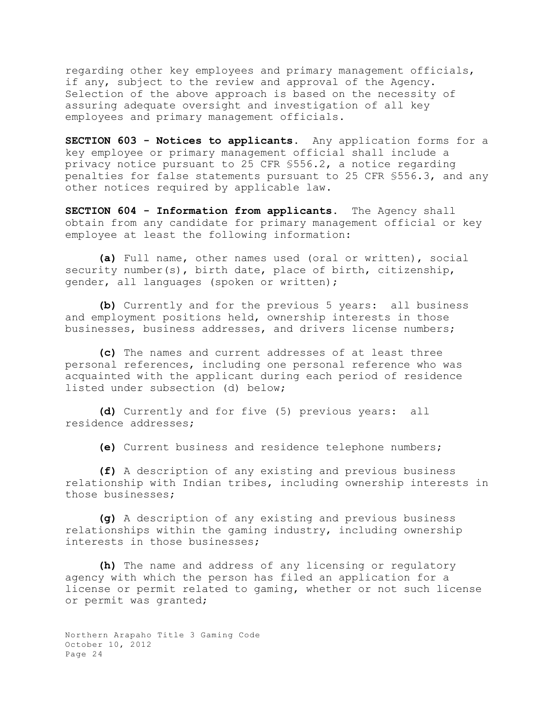regarding other key employees and primary management officials, if any, subject to the review and approval of the Agency. Selection of the above approach is based on the necessity of assuring adequate oversight and investigation of all key employees and primary management officials.

**SECTION 603 - Notices to applicants.** Any application forms for a key employee or primary management official shall include a privacy notice pursuant to 25 CFR §556.2, a notice regarding penalties for false statements pursuant to 25 CFR §556.3, and any other notices required by applicable law.

**SECTION 604 - Information from applicants.** The Agency shall obtain from any candidate for primary management official or key employee at least the following information:

**(a)** Full name, other names used (oral or written), social security number(s), birth date, place of birth, citizenship, gender, all languages (spoken or written);

**(b)** Currently and for the previous 5 years: all business and employment positions held, ownership interests in those businesses, business addresses, and drivers license numbers;

**(c)** The names and current addresses of at least three personal references, including one personal reference who was acquainted with the applicant during each period of residence listed under subsection (d) below;

**(d)** Currently and for five (5) previous years: all residence addresses;

**(e)** Current business and residence telephone numbers;

**(f)** A description of any existing and previous business relationship with Indian tribes, including ownership interests in those businesses;

**(g)** A description of any existing and previous business relationships within the gaming industry, including ownership interests in those businesses;

**(h)** The name and address of any licensing or regulatory agency with which the person has filed an application for a license or permit related to gaming, whether or not such license or permit was granted;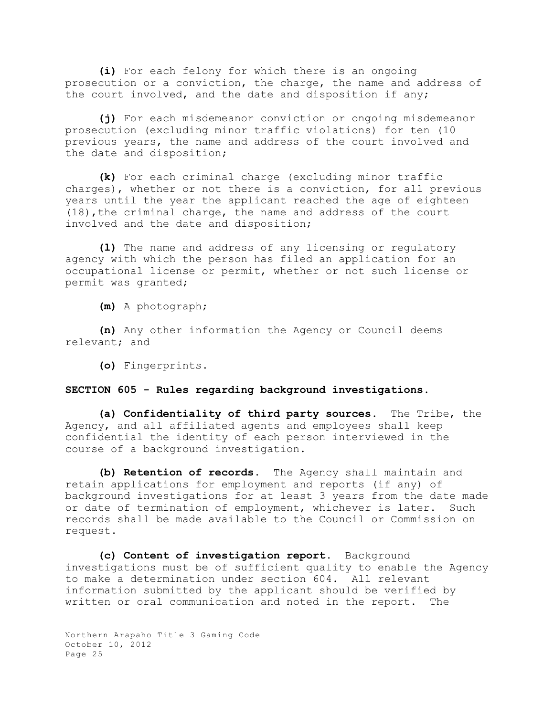**(i)** For each felony for which there is an ongoing prosecution or a conviction, the charge, the name and address of the court involved, and the date and disposition if any;

**(j)** For each misdemeanor conviction or ongoing misdemeanor prosecution (excluding minor traffic violations) for ten (10 previous years, the name and address of the court involved and the date and disposition;

**(k)** For each criminal charge (excluding minor traffic charges), whether or not there is a conviction, for all previous years until the year the applicant reached the age of eighteen (18),the criminal charge, the name and address of the court involved and the date and disposition;

**(l)** The name and address of any licensing or regulatory agency with which the person has filed an application for an occupational license or permit, whether or not such license or permit was granted;

**(m)** A photograph;

**(n)** Any other information the Agency or Council deems relevant; and

**(o)** Fingerprints.

## **SECTION 605 - Rules regarding background investigations**.

**(a) Confidentiality of third party sources.** The Tribe, the Agency, and all affiliated agents and employees shall keep confidential the identity of each person interviewed in the course of a background investigation.

**(b) Retention of records.** The Agency shall maintain and retain applications for employment and reports (if any) of background investigations for at least 3 years from the date made or date of termination of employment, whichever is later. Such records shall be made available to the Council or Commission on request.

**(c) Content of investigation report.** Background investigations must be of sufficient quality to enable the Agency to make a determination under section 604. All relevant information submitted by the applicant should be verified by written or oral communication and noted in the report. The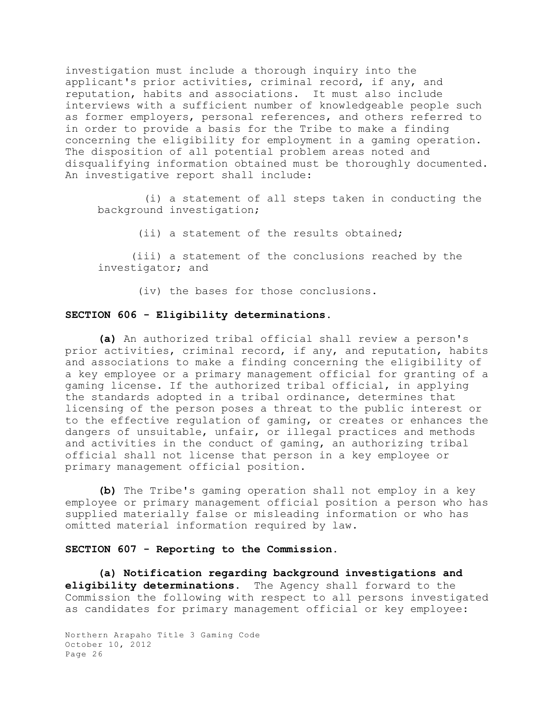investigation must include a thorough inquiry into the applicant's prior activities, criminal record, if any, and reputation, habits and associations. It must also include interviews with a sufficient number of knowledgeable people such as former employers, personal references, and others referred to in order to provide a basis for the Tribe to make a finding concerning the eligibility for employment in a gaming operation. The disposition of all potential problem areas noted and disqualifying information obtained must be thoroughly documented. An investigative report shall include:

 (i) a statement of all steps taken in conducting the background investigation;

(ii) a statement of the results obtained;

(iii) a statement of the conclusions reached by the investigator; and

(iv) the bases for those conclusions.

### **SECTION 606 - Eligibility determinations.**

**(a)** An authorized tribal official shall review a person's prior activities, criminal record, if any, and reputation, habits and associations to make a finding concerning the eligibility of a key employee or a primary management official for granting of a gaming license. If the authorized tribal official, in applying the standards adopted in a tribal ordinance, determines that licensing of the person poses a threat to the public interest or to the effective regulation of gaming, or creates or enhances the dangers of unsuitable, unfair, or illegal practices and methods and activities in the conduct of gaming, an authorizing tribal official shall not license that person in a key employee or primary management official position.

**(b)** The Tribe's gaming operation shall not employ in a key employee or primary management official position a person who has supplied materially false or misleading information or who has omitted material information required by law.

### **SECTION 607 - Reporting to the Commission.**

**(a) Notification regarding background investigations and eligibility determinations.** The Agency shall forward to the Commission the following with respect to all persons investigated as candidates for primary management official or key employee: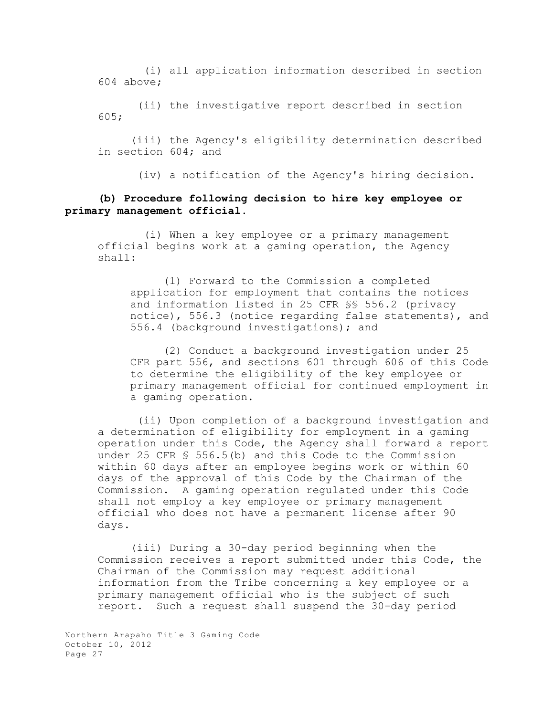(i) all application information described in section 604 above;

 (ii) the investigative report described in section 605;

(iii) the Agency's eligibility determination described in section 604; and

(iv) a notification of the Agency's hiring decision.

# **(b) Procedure following decision to hire key employee or primary management official.**

 (i) When a key employee or a primary management official begins work at a gaming operation, the Agency shall:

(1) Forward to the Commission a completed application for employment that contains the notices and information listed in 25 CFR §§ 556.2 (privacy notice), 556.3 (notice regarding false statements), and 556.4 (background investigations); and

(2) Conduct a background investigation under 25 CFR part 556, and sections 601 through 606 of this Code to determine the eligibility of the key employee or primary management official for continued employment in a gaming operation.

 (ii) Upon completion of a background investigation and a determination of eligibility for employment in a gaming operation under this Code, the Agency shall forward a report under 25 CFR § 556.5(b) and this Code to the Commission within 60 days after an employee begins work or within 60 days of the approval of this Code by the Chairman of the Commission. A gaming operation regulated under this Code shall not employ a key employee or primary management official who does not have a permanent license after 90 days.

(iii) During a 30-day period beginning when the Commission receives a report submitted under this Code, the Chairman of the Commission may request additional information from the Tribe concerning a key employee or a primary management official who is the subject of such report. Such a request shall suspend the 30-day period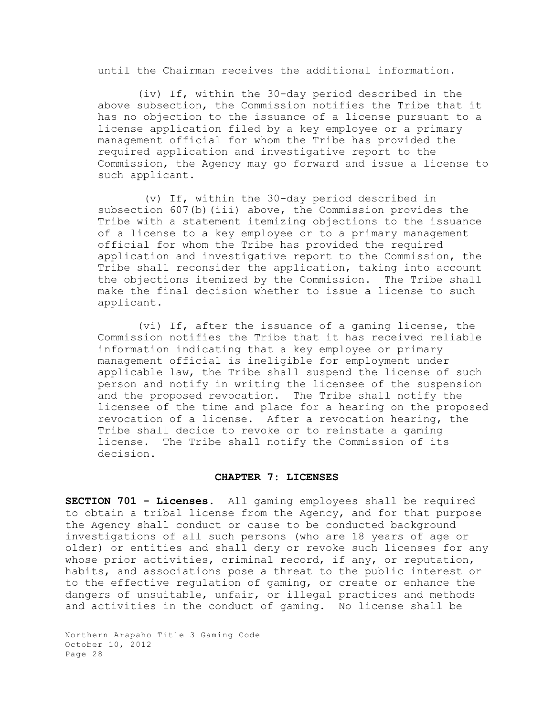until the Chairman receives the additional information.

 (iv) If, within the 30-day period described in the above subsection, the Commission notifies the Tribe that it has no objection to the issuance of a license pursuant to a license application filed by a key employee or a primary management official for whom the Tribe has provided the required application and investigative report to the Commission, the Agency may go forward and issue a license to such applicant.

 (v) If, within the 30-day period described in subsection 607(b)(iii) above, the Commission provides the Tribe with a statement itemizing objections to the issuance of a license to a key employee or to a primary management official for whom the Tribe has provided the required application and investigative report to the Commission, the Tribe shall reconsider the application, taking into account the objections itemized by the Commission. The Tribe shall make the final decision whether to issue a license to such applicant.

 (vi) If, after the issuance of a gaming license, the Commission notifies the Tribe that it has received reliable information indicating that a key employee or primary management official is ineligible for employment under applicable law, the Tribe shall suspend the license of such person and notify in writing the licensee of the suspension and the proposed revocation. The Tribe shall notify the licensee of the time and place for a hearing on the proposed revocation of a license. After a revocation hearing, the Tribe shall decide to revoke or to reinstate a gaming license. The Tribe shall notify the Commission of its decision.

### **CHAPTER 7: LICENSES**

**SECTION 701 - Licenses.** All gaming employees shall be required to obtain a tribal license from the Agency, and for that purpose the Agency shall conduct or cause to be conducted background investigations of all such persons (who are 18 years of age or older) or entities and shall deny or revoke such licenses for any whose prior activities, criminal record, if any, or reputation, habits, and associations pose a threat to the public interest or to the effective regulation of gaming, or create or enhance the dangers of unsuitable, unfair, or illegal practices and methods and activities in the conduct of gaming. No license shall be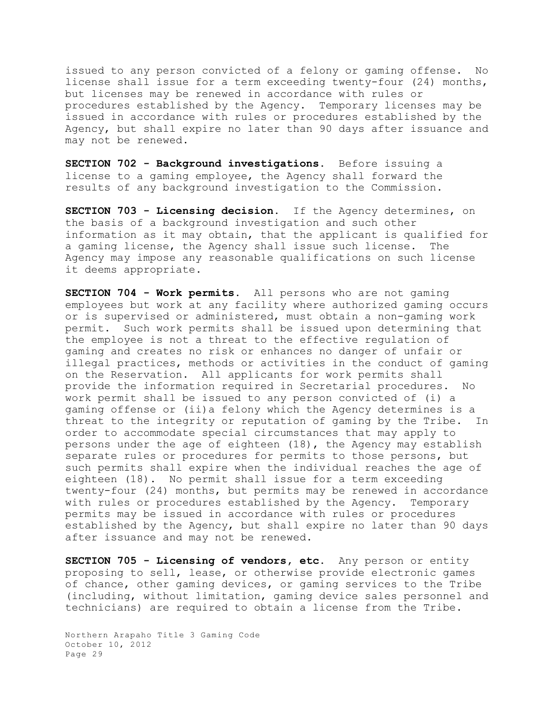issued to any person convicted of a felony or gaming offense. No license shall issue for a term exceeding twenty-four (24) months, but licenses may be renewed in accordance with rules or procedures established by the Agency. Temporary licenses may be issued in accordance with rules or procedures established by the Agency, but shall expire no later than 90 days after issuance and may not be renewed.

**SECTION 702 - Background investigations.** Before issuing a license to a gaming employee, the Agency shall forward the results of any background investigation to the Commission.

**SECTION 703 - Licensing decision.** If the Agency determines, on the basis of a background investigation and such other information as it may obtain, that the applicant is qualified for a gaming license, the Agency shall issue such license. The Agency may impose any reasonable qualifications on such license it deems appropriate.

**SECTION 704 - Work permits.** All persons who are not gaming employees but work at any facility where authorized gaming occurs or is supervised or administered, must obtain a non-gaming work permit. Such work permits shall be issued upon determining that the employee is not a threat to the effective regulation of gaming and creates no risk or enhances no danger of unfair or illegal practices, methods or activities in the conduct of gaming on the Reservation. All applicants for work permits shall provide the information required in Secretarial procedures. No work permit shall be issued to any person convicted of (i) a gaming offense or (ii)a felony which the Agency determines is a threat to the integrity or reputation of gaming by the Tribe. In order to accommodate special circumstances that may apply to persons under the age of eighteen (18), the Agency may establish separate rules or procedures for permits to those persons, but such permits shall expire when the individual reaches the age of eighteen (18). No permit shall issue for a term exceeding twenty-four (24) months, but permits may be renewed in accordance with rules or procedures established by the Agency. Temporary permits may be issued in accordance with rules or procedures established by the Agency, but shall expire no later than 90 days after issuance and may not be renewed.

**SECTION 705 - Licensing of vendors, etc.** Any person or entity proposing to sell, lease, or otherwise provide electronic games of chance, other gaming devices, or gaming services to the Tribe (including, without limitation, gaming device sales personnel and technicians) are required to obtain a license from the Tribe.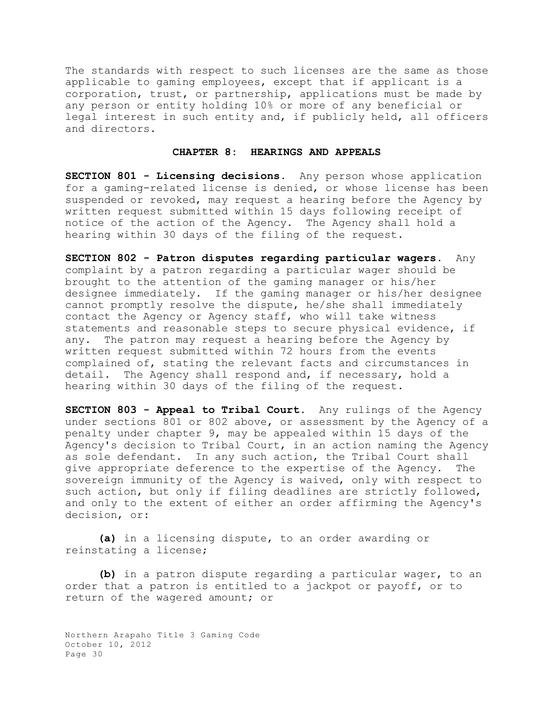The standards with respect to such licenses are the same as those applicable to gaming employees, except that if applicant is a corporation, trust, or partnership, applications must be made by any person or entity holding 10% or more of any beneficial or legal interest in such entity and, if publicly held, all officers and directors.

## **CHAPTER 8: HEARINGS AND APPEALS**

**SECTION 801 - Licensing decisions**. Any person whose application for a gaming-related license is denied, or whose license has been suspended or revoked, may request a hearing before the Agency by written request submitted within 15 days following receipt of notice of the action of the Agency. The Agency shall hold a hearing within 30 days of the filing of the request.

**SECTION 802 - Patron disputes regarding particular wagers**. Any complaint by a patron regarding a particular wager should be brought to the attention of the gaming manager or his/her designee immediately. If the gaming manager or his/her designee cannot promptly resolve the dispute, he/she shall immediately contact the Agency or Agency staff, who will take witness statements and reasonable steps to secure physical evidence, if any. The patron may request a hearing before the Agency by written request submitted within 72 hours from the events complained of, stating the relevant facts and circumstances in detail. The Agency shall respond and, if necessary, hold a hearing within 30 days of the filing of the request.

**SECTION 803 - Appeal to Tribal Court.** Any rulings of the Agency under sections 801 or 802 above, or assessment by the Agency of a penalty under chapter 9, may be appealed within 15 days of the Agency's decision to Tribal Court, in an action naming the Agency as sole defendant. In any such action, the Tribal Court shall give appropriate deference to the expertise of the Agency. The sovereign immunity of the Agency is waived, only with respect to such action, but only if filing deadlines are strictly followed, and only to the extent of either an order affirming the Agency's decision, or:

**(a)** in a licensing dispute, to an order awarding or reinstating a license;

**(b)** in a patron dispute regarding a particular wager, to an order that a patron is entitled to a jackpot or payoff, or to return of the wagered amount; or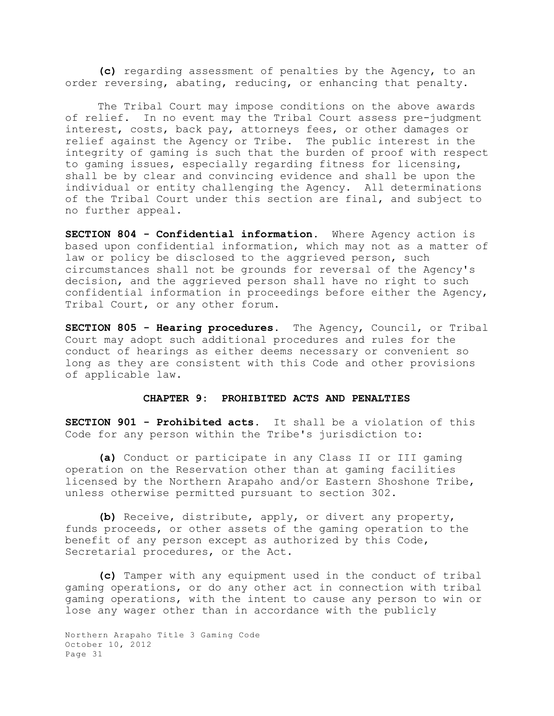**(c)** regarding assessment of penalties by the Agency, to an order reversing, abating, reducing, or enhancing that penalty.

The Tribal Court may impose conditions on the above awards of relief. In no event may the Tribal Court assess pre-judgment interest, costs, back pay, attorneys fees, or other damages or relief against the Agency or Tribe. The public interest in the integrity of gaming is such that the burden of proof with respect to gaming issues, especially regarding fitness for licensing, shall be by clear and convincing evidence and shall be upon the individual or entity challenging the Agency. All determinations of the Tribal Court under this section are final, and subject to no further appeal.

**SECTION 804 - Confidential information**. Where Agency action is based upon confidential information, which may not as a matter of law or policy be disclosed to the aggrieved person, such circumstances shall not be grounds for reversal of the Agency's decision, and the aggrieved person shall have no right to such confidential information in proceedings before either the Agency, Tribal Court, or any other forum.

**SECTION 805 - Hearing procedures.** The Agency, Council, or Tribal Court may adopt such additional procedures and rules for the conduct of hearings as either deems necessary or convenient so long as they are consistent with this Code and other provisions of applicable law.

### **CHAPTER 9: PROHIBITED ACTS AND PENALTIES**

**SECTION 901 - Prohibited acts.** It shall be a violation of this Code for any person within the Tribe's jurisdiction to:

**(a)** Conduct or participate in any Class II or III gaming operation on the Reservation other than at gaming facilities licensed by the Northern Arapaho and/or Eastern Shoshone Tribe, unless otherwise permitted pursuant to section 302.

**(b)** Receive, distribute, apply, or divert any property, funds proceeds, or other assets of the gaming operation to the benefit of any person except as authorized by this Code, Secretarial procedures, or the Act.

**(c)** Tamper with any equipment used in the conduct of tribal gaming operations, or do any other act in connection with tribal gaming operations, with the intent to cause any person to win or lose any wager other than in accordance with the publicly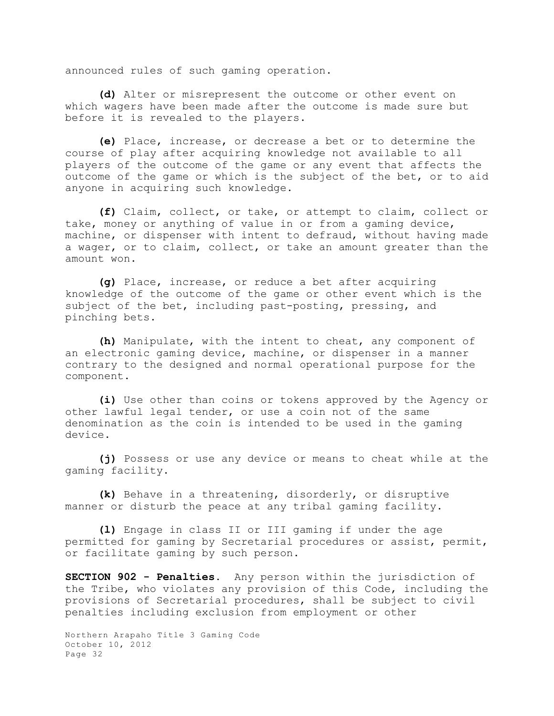announced rules of such gaming operation.

**(d)** Alter or misrepresent the outcome or other event on which wagers have been made after the outcome is made sure but before it is revealed to the players.

**(e)** Place, increase, or decrease a bet or to determine the course of play after acquiring knowledge not available to all players of the outcome of the game or any event that affects the outcome of the game or which is the subject of the bet, or to aid anyone in acquiring such knowledge.

**(f)** Claim, collect, or take, or attempt to claim, collect or take, money or anything of value in or from a gaming device, machine, or dispenser with intent to defraud, without having made a wager, or to claim, collect, or take an amount greater than the amount won.

**(g)** Place, increase, or reduce a bet after acquiring knowledge of the outcome of the game or other event which is the subject of the bet, including past-posting, pressing, and pinching bets.

**(h)** Manipulate, with the intent to cheat, any component of an electronic gaming device, machine, or dispenser in a manner contrary to the designed and normal operational purpose for the component.

**(i)** Use other than coins or tokens approved by the Agency or other lawful legal tender, or use a coin not of the same denomination as the coin is intended to be used in the gaming device.

**(j)** Possess or use any device or means to cheat while at the gaming facility.

**(k)** Behave in a threatening, disorderly, or disruptive manner or disturb the peace at any tribal gaming facility.

**(l)** Engage in class II or III gaming if under the age permitted for gaming by Secretarial procedures or assist, permit, or facilitate gaming by such person.

**SECTION 902 - Penalties.** Any person within the jurisdiction of the Tribe, who violates any provision of this Code, including the provisions of Secretarial procedures, shall be subject to civil penalties including exclusion from employment or other